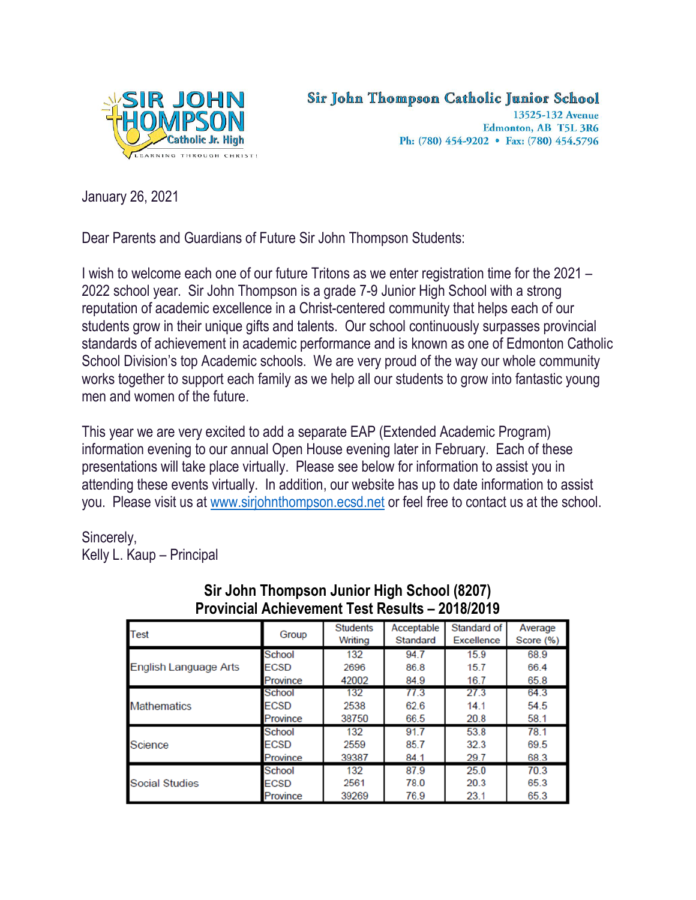

Sir John Thompson Catholic Junior School

13525-132 Avenue Edmonton, AB T5L 3R6 Ph: (780) 454-9202 • Fax: (780) 454.5796

January 26, 2021

Dear Parents and Guardians of Future Sir John Thompson Students:

I wish to welcome each one of our future Tritons as we enter registration time for the 2021 – 2022 school year. Sir John Thompson is a grade 7-9 Junior High School with a strong reputation of academic excellence in a Christ-centered community that helps each of our students grow in their unique gifts and talents. Our school continuously surpasses provincial standards of achievement in academic performance and is known as one of Edmonton Catholic School Division's top Academic schools. We are very proud of the way our whole community works together to support each family as we help all our students to grow into fantastic young men and women of the future.

This year we are very excited to add a separate EAP (Extended Academic Program) information evening to our annual Open House evening later in February. Each of these presentations will take place virtually. Please see below for information to assist you in attending these events virtually. In addition, our website has up to date information to assist you. Please visit us at [www.sirjohnthompson.ecsd.net](http://www.sirjohnthompson.ecsd.net/) or feel free to contact us at the school.

Sincerely, Kelly L. Kaup – Principal

| T TOVINGIA MUNGVENIENI. TESI NESURS — ZV TOIZUTJ |               |                            |                        |                                  |                      |
|--------------------------------------------------|---------------|----------------------------|------------------------|----------------------------------|----------------------|
| <b>Test</b>                                      | Group         | <b>Students</b><br>Writing | Acceptable<br>Standard | Standard of<br><b>Excellence</b> | Average<br>Score (%) |
| English Language Arts                            | <b>School</b> | 132                        | 94.7                   | 15.9                             | 68.9                 |
|                                                  | <b>ECSD</b>   | 2696                       | 86.8                   | 15.7                             | 66.4                 |
|                                                  | Province      | 42002                      | 84.9                   | 16.7                             | 65.8                 |
| <b>Mathematics</b>                               | <b>School</b> | 132                        | 77.3                   | 27.3                             | 64.3                 |
|                                                  | <b>ECSD</b>   | 2538                       | 62.6                   | 14.1                             | 54.5                 |
|                                                  | Province      | 38750                      | 66.5                   | 20.8                             | 58.1                 |
| Science                                          | <b>School</b> | 132                        | 91.7                   | 53.8                             | 78.1                 |
|                                                  | <b>ECSD</b>   | 2559                       | 85.7                   | 32.3                             | 69.5                 |
|                                                  | Province      | 39387                      | 84.1                   | 29.7                             | 68.3                 |
| <b>Social Studies</b>                            | School        | 132                        | 87.9                   | 25.0                             | 70.3                 |
|                                                  | <b>ECSD</b>   | 2561                       | 78.0                   | 20.3                             | 65.3                 |
|                                                  | Province      | 39269                      | 76.9                   | 23.1                             | 65.3                 |

## **Sir John Thompson Junior High School (8207) Provincial Achievement Test Results – 2018/2019**